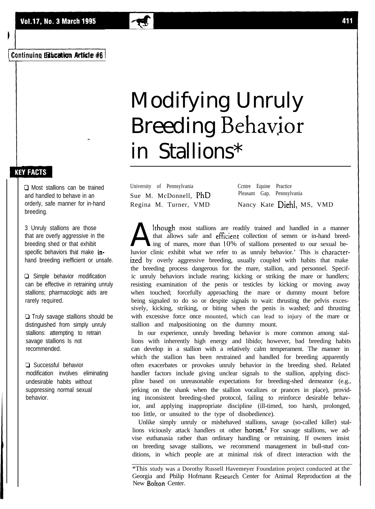# Modifying Unruly Breeding Behavjor in Stallions\*

University of Pennsylvania Ccntre Equine Practice Sue M. McDonnell, PhD Pleasant Gap, Pennsylvania

Regina M. Turner, VMD Nancy Kate Diehl, MS, VMD

A though most stallions are readily trained and handled in a manner that allows safe and efficient collection of semen or in-hand breed-<br>havior clinic exhibit what we refer to as unruly behavior.' This is characterlthough most stallions are readily trained and handled in a manner that allows safe and efficient collection of semen or in-hand breeding of mares, more than IO% of stallions presented to our sexual beized by overly aggressive breeding, usually coupled with habits that make the breeding process dangerous for the mare, stallion, and personnel. Specific unruly behaviors include rearing; kicking or striking the mare or handlers; resisting examination of the penis or testicles by kicking or moving away when touched; forcefully approaching the mare or dummy mount before being signaled to do so or despite signals to wait: thrusting the pelvis excessively, kicking, striking, or biting when the penis is washed; and thrusting with excessive force once mounted, which can lead to injury of the mare or stallion and malpositioning on the dummy mount.

In our experience, unruly breeding behavior is more common among stallions with inherently high energy and libido; however, bad breeding habits can develop in a stallion with a relatively calm temperament. The manner in which the stallion has been restrained and handled for breeding apparently often exacerbates or provokes unruly behavior in the breeding shed. Related handler factors include giving unclear signals to the stallion, applying discipline based on unreasonable expectations for breeding-shed demeanor (e.g., jerking on the shank when the stallion vocalizes or prances in place), providing inconsistent breeding-shed protocol, failing to reinforce desirable behavior, and applying inappropriate discipline (ill-timed, too harsh, prolonged, too little, or unsuited to the type of disobedience).

Unlike simply unruly or misbehaved stallions, savage (so-called killer) stallions viciously attack handlers ot other horses.<sup>2</sup> For savage stallions, we advise euthanasia rather than ordinary handling or retraining. If owners insist on breeding savage stallions, we recommend management in bull-stud conditions, in which people are at minimal risk of direct interaction with the

\*This study was a Dorothy Russell Havemeyer Foundation project conducted at the Georgia and Philip Hofmann Research Center for Animal Reproduction at the New Bolton Center.

## **KEY FACTS**

CI Most stallions can be trained and handled to behave in an orderly, safe manner for in-hand breeding.

**-.**

3 Unruly stallions are those that are overly aggressive in the breeding shed or that exhibit specific behaviors that make inhand breeding inefficient or unsafe.

**Q** Simple behavior modification can be effective in retraining unruly stallions; pharmacologic aids are rarely required.

0 Truly savage stallions should be distinguished from simply unruly stallions: attempting to retrain savage stallions Is not recommended.

**D** Successful behavior modification involves eliminating undesirable habits without suppressing normal sexual behavior.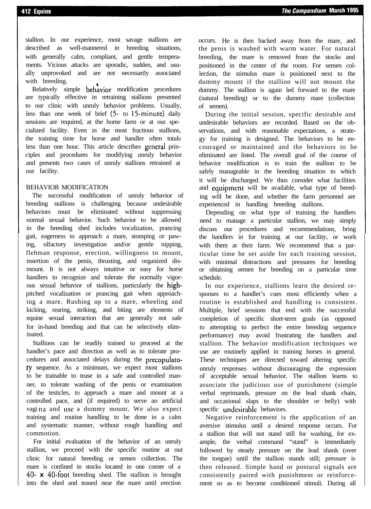## 412 Equine

stallion. In our experience, most savage stallions are described as well-mannered in breeding situations, with generally calm, compliant, and gentle temperaments. Vicious attacks are sporadic, sudden, and usually unprovoked and are not necessarily associated with breeding.

Relatively simple behavior modification procedures are typically effective in retraining stallions presented to our clinic with unruly behavior problems. Usually, less than one week of brief  $(5 - t_0)$  15-minute) daily sessions are required, at the home farm or at our specialized facility. Even in the most fractious stallions, the training time for horse and handler often totals less than one hour. This article describes general principles and procedures for modifying unruly behavior and presents two cases of unruly stallions retrained at our facility.

## BEHAVIOR MODIFICATION

The successful modification of unruly behavior of breeding stallions is challenging because undesirable behaviors must be eliminated without suppressing normal sexual behavior. Such behavior to be allowed in the breeding shed includes vocalization, prancing gait, eagerness to approach a mare, stomping or pawing, olfactory investigation and/or gentle nipping, flehman response, erection, willingness to mount, insertion of the penis, thrusting, and organized dismount. It is not always intuitive or easy for horse handlers to recognize and tolerate the normally vigorous sexual behavior of stallions, particularly the highpitched vocalization or prancing gait when approaching a mare. Rushing up to a mare, wheeling and kicking, rearing, striking, and biting are elements of equine sexual interaction that are generally not safe for in-hand breeding and that can be selectively eliminated.

Stallions can be readily trained to proceed at the handler's pace and direction as well as to tolerate procedures and associated delays during the precopulatory sequence. As a minimum, we expect most stallions to be trainable to tease in a safe and controlled manner, to tolerate washing of the penis or examination of the testicles, to approach a mare and mount at a controlled pace, and (if required) to serve an artificial vaging and use a dummy mount. We also expect training and routine handling to be done in a calm and systematic manner, without rough handling and commotion.

For initial evaluation of the behavior of an unruly stallion, we proceed with the specific routine at our clinic for natural breeding or semen collection. The mare is confined in stocks located in one corner of a 4O- **x** 40-foot breeding shed. The stallion is brought into the shed and teased near the mare until erection

occurs. He is then backed away from the mare, and the penis is washed with warm water. For natural breeding, the mare is removed from the stocks and positioned in the center of the room. For semen collection, the stimulus mare is positioned next to the dummy mount if the stallion will not mount the dummy. The stallion is again led forward to the mare (natural breeding) or to the dummy mare (collection of semen).

During the initial session, specific desirable and undesirable behaviors are recorded. Based on the observations, and with reasonable expectations, a strategy for training is designed. The behaviors to be encouraged or maintained and the behaviors to be eliminated are listed. The overall goal of the course of behavior modification is to train the stallion to be safely manageable in the breeding situation to which it will be discharged. We thus consider what facilities and equipment will be available, what type of breeding will be done, and whether the farm personnel are experienced in handling breeding stallions.

Depending on what type of training the handlers need to manage a particular stallion, we may simply discuss our procedures and recommendations, bring the handlers in for training at our facility, or work with them at their farm. We recommend that a particular time be set aside for each training session, with minimal distractions and pressures for breeding or obtaining semen for breeding on a particular time schedule.

In our experience, stallions learn the desired responses to a handler's cues most efficiently when a routine is established and handling is consistent. Multiple, brief sessions that end with the successful completion of specific short-term goals (as opposed to attempting to perfect the entire breeding sequence performance) may avoid frustrating the handlers and stallion. The behavior modification techniques we use are routinely applied in training horses in general. These techniques are directed toward altering specific unruly responses without discouraging the expression of acceptable sexual behavior. The stallion learns to associate the judicious use of punishment (simple verbal reprimands, pressure on the lead shank chain, and occasional slaps to the shoulder or belly) with specific undcsirablc behaviors.

Negative reinforcement is the application of an aversive stimulus until a desired response occurs. For a stallion that will not stand still for washing, for example, the verbal command "stand" is immediately followed by steady pressure on the lead shank (over the tongue) until the stallion stands still; pressure is then released. Simple hand or postural signals are consistently paired with punishment or reinforcement so as to become conditioned stimuli. During all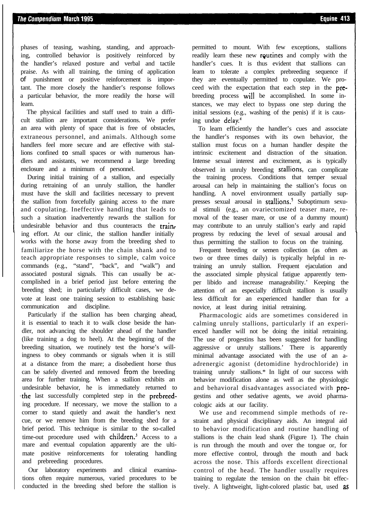Equine 413

phases of teasing, washing, standing, and approaching, controlled behavior is positively reinforced by the handler's relaxed posture and verbal and tactile praise. As with all training, the timing of application of punishment or positive reinforcement is important. The more closely the handier's response follows a particular behavior, the more readily the horse will learn.

The physical facilities and staff used to train a difficult stallion are important considerations. We prefer an area with plenty of space that is free of obstacles, extraneous personnel, and animals. Although some handlers feel more secure and are effective with stallions confined to small spaces or with numerous handlers and assistants, we recommend a large breeding enclosure and a minimum of personnel.

During initial training of a stallion, and especially during retraining of an unruly stallion, the handler must have the skill and facilities necessary to prevent the stallion from forcefully gaining access to the mare and copulating. Ineffective handling that leads to such a situation inadvertently rewards the stallion for undesirable behavior and thus counteracts the training effort. At our clinic, the stallion handler initially works with the horse away from the breeding shed to familiarize the horse with the chain shank and to teach appropriate responses to simple, calm voice commands (e.g., "stand", "back", and "walk") and associated postural signals. This can usually be accomplished in a brief period just before entering the breeding shed; in particularly difficult cases, we devote at least one training session to establishing basic communication and discipline.

Particularly if the stallion has been charging ahead, it is essential to teach it to walk close beside the handler, not advancing the shoulder ahead of the handler (like training a dog to heel). At the beginning of the breeding situation, we routinely test the horse's willingness to obey commands or signals when it is still at a distance from the mare; a disobedient horse thus can be safely diverted and removed from the breeding area for further training. When a stallion exhibits an undesirable behavior, he is immediately returned to the last successfully completed step in the prebreeding procedure. If necessary, we move the stallion to a corner to stand quietly and await the handler's next cue, or we remove him from the breeding shed for a brief period. This technique is similar to the so-called time-out procedure used with children.<sup>3</sup> Access to a mare and eventual copulation apparently are the ultimate positive reinforcements for tolerating handling and prebreeding procedures.

Our laboratory experiments and clinical examinations often require numerous, varied procedures to be conducted in the breeding shed before the stallion is

permitted to mount. With few exceptions, stallions readily learn these new routines and comply with the handler's cues. It is thus evident that stallions can learn to tolerate a complex prebreeding sequence if they are eventually permitted to copulate. We proceed with the expectation that each step in the prebreeding process will be accomplished. In some instances, we may elect to bypass one step during the initial sessions (e.g., washing of the penis) if it is causing undue delay.4

To learn efficiently the handler's cues and associate the handler's responses with its own behavior, the stallion must focus on a human handler despite the intrinsic excitement and distraction of the situation. Intense sexual interest and excitement, as is typically observed in unruly breeding srallions, can complicate the training process. Conditions that temper sexual arousal can help in maintaining the stallion's focus on handling. A novel environment usually partially suppresses sexual arousal in stallions.<sup>5</sup> Suboptimum sexual stimuli (e.g., an ovariectomized teaser mare, removal of the teaser mare, or use of a dummy mount) may contribute to an unruly stallion's early and rapid progress by reducing the level of sexual arousal and thus permitting the stallion to focus on the training.

Frequent breeding or semen collection (as often as two or three times daily) is typically helpful in retraining an unruly stallion. Frequent ejaculation and the associated simple physical fatigue apparently temper libido and increase manageability.' Keeping the attention of an especially difficult stallion is usually less difficult for an experienced handler than for a novice, at least during initial retraining.

Pharmacologic aids are sometimes considered in calming unruly stallions, particularly if an experienced handler will not be doing the initial retraining. The use of progestins has been suggested for handling aggressive or unruly stallions.' There is apparently minimal advantage associated with the use of an aadrenergic agonist (detomidine hydrochloride) in training unruly stallions.\* In light of our success with behavior modification alone as well as the physiologic and behavioral disadvantages associated with progestins and other sedative agents, we avoid pharmacologic aids at our facility.

We use and recommend simple methods of restraint and physical disciplinary aids. An integral aid to behavior modification and routine handling of stallions is the chain lead shank (Figure 1). The chain is run through the mouth and over the tongue or, for more effective control, through the mouth and back across the nose. This affords excellent directional control of the head. The handler usually requires training to regulate the tension on the chain bit effectively. A lightweight, light-colored plastic bat, used **as**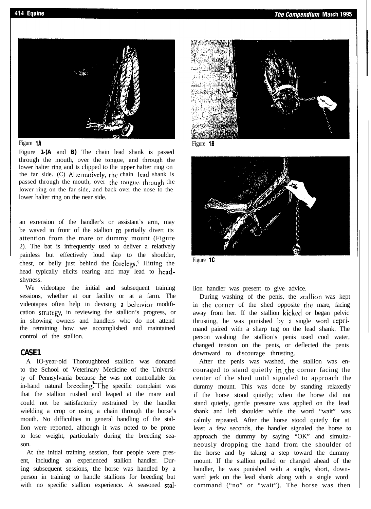



Figure **1-(A** and **B)** The chain lead shank is passed through the mouth, over the tongue, and through the lower halter ring and is clipped to the upper halter ring on the far side. (C) Alternatively, the chain lead shank is passed through the mouth, over the tongue, through the lower ring on the far side, and back over the nose to the lower halter ring on the near side.

an exrension of the handler's or assistant's arm, may be waved in front of the stallion to partially divert its attention from the mare or dummy mount (Figure 2). The bat is infrequently used to deliver a relatively painless but effectively loud slap to the shoulder, chest, or belly just behind the forelegs.<sup>9</sup> Hitting the head typically elicits rearing and may lead to headshyness.

We videotape the initial and subsequent training sessions, whether at our facility or at a farm. The videotapes often help in devising a bchavior modification strategy, in reviewing the stallion's progress, or in showing owners and handlers who do not attend the retraining how we accomplished and maintained control of the stallion.

## **CASE1**

A IO-year-old Thoroughbred stallion was donated to the School of Veterinary Medicine of the University of Pennsylvania because he was not controllable for in-hand natural breeding?The specific complaint was that the stallion rushed and leaped at the mare and could not be satisfactorily restrained by the handler wielding a crop or using a chain through the horse's mouth. No difficulties in general handling of the stallion were reported, although it was noted to be prone to lose weight, particularly during the breeding season.

At the initial training session, four people were present, including an experienced stallion handler. During subsequent sessions, the horse was handled by a person in training to handle stallions for breeding but with no specific stallion experience. A seasoned stal-



Figure **1B**



Figure **1C**

lion handler was present to give advice.

During washing of the penis, the srallion was kept in the corner of the shed opposite the mare, facing away from her. If the stallion kicked or began pelvic thrusting, he was punished by a single word reprimand paired with a sharp tug on the lead shank. The person washing the stallion's penis used cool water, changed tension on the penis, or deflected the penis downward to discourage thrusting.

After the penis was washed, the stallion was encouraged to stand quietly in the corner facing the center of the shed until signaled to approach the dummy mount. This was done by standing relaxedly if the horse stood quietly; when the horse did not stand quietly, gentle pressure was applied on the lead shank and left shoulder while the word "wait" was calmly repeated. After the horse stood quietly for at least a few seconds, the handler signaled the horse to approach the dummy by saying "OK" and simultaneously dropping the hand from the shoulder of the horse and by taking a step toward the dummy mount. If the stallion pulled or charged ahead of the handler, he was punished with a single, short, downward jerk on the lead shank along with a single word command ("no" or "wait"). The horse was then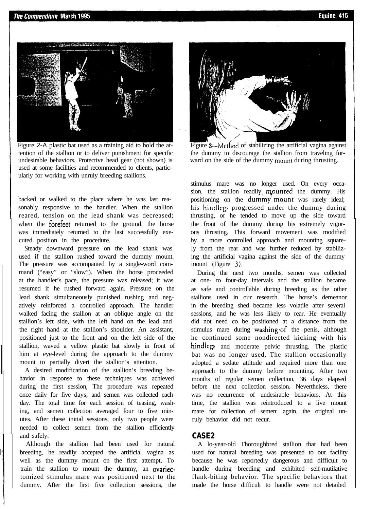

Figure 2-A plastic bat used as a training aid to hold the attention of the stallion or to deliver punishment for specific undesirable behaviors. Protective head gear (not shown) is used at some facilities and recommended to clients, particularly for working with unruly breeding stallions.

backed or walked to the place where he was last reasonably responsive to the handler. When the stallion reared, tension on the lead shank was decreased; when the **forefeet** returned to the ground, the horse was immediately returned to the last successfully executed position in the procedure.

Steady downward pressure on the lead shank was used if the stallion rushed toward the dummy mount. The pressure was accompanied by a single-word command ("easy" or "slow"). When the horse proceeded at the handler's pace, the pressure was released; it was resumed if he rushed forward again. Pressure on the lead shank simultaneously punished rushing and negatively reinforced a controlled approach. The handler walked facing the stallion at an oblique angle on the stallion's left side, with the left hand on the lead and the right hand at the stallion's shoulder. An assistant, positioned just to the front and on the left side of the stallion, waved a yellow plastic bat slowly in front of him at eye-level during the approach to the dummy mount to partially divert the stallion's attention.

A desired modification of the stallion's breeding behavior in response to these techniques was achieved during the first session, The procedure was repeated once daily for five days, and semen was collected each day. The total time for each session of teasing, washing, and semen collection averaged four to five minutes. After these initial sessions, only two people were needed to collect semen from the stallion efficiently and safely.

Although the stallion had been used for natural breeding, he readily accepted the artificial vagina as well as the dummy mount on the first attempt, To train the stallion to mount the dummy, an ovariectomized stimulus mare was positioned next to the dummy. After the first five collection sessions, the



Figure 3—Method of stabilizing the artificial vagina against the dummy to discourage the stallion from traveling forward on the side of the dummy mount during thrusting.

stimulus mare was no longer used. On every occasion, the stallion readily mounted the dummy. His positioning on the dummy'mount was rarely ideal; his hindlegs progressed under the dummy during thrusting, or he tended to move up the side toward the front of the dummy during his extremely vigorous thrusting. This forward movement was modified by a more controlled approach and mounting squarely from the rear and was further reduced by stabilizing the artificial vagina against the side of the dummy mount (Figure 3).

During the next two months, semen was collected at one- to four-day intervals and the stallion became as safe and controllable during breeding as the other stallions used in our research. The horse's demeanor in the breeding shed became less volatile after several sessions, and he was less likely to rear. He eventually did not need co be positioned at a distance from the stimulus mare during washing of the penis, although he continued some nondirected kicking with his hindlegs and moderate pelvic thrusting. The plastic bat was no longer used, The stallion occasionally adopted a sedate attitude and required more than one approach to the dummy before mounting. After two months of regular semen collection, 36 days elapsed before the next collection session. Nevertheless, there was no recurrence of undesirable behaviors. At this time, the stallion was reintroduced to a live mount mare for collection of semen: again, the original unruly behavior did not recur.

## **CASE2**

A lo-year-old Thoroughbred stallion that had been used for natural breeding was presented to our facility because he was reportedly dangerous and difficult to handle during breeding and exhibited self-mutilative flank-biting behavior. The specific behaviors that made the horse difficult to handle were not detailed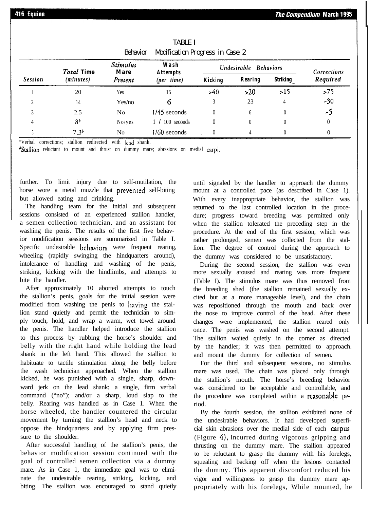#### **The Compendium March 1995**

| Behavior<br>Modification Progress in Case 2 |                                |                                           |                                                |                       |          |                 |             |
|---------------------------------------------|--------------------------------|-------------------------------------------|------------------------------------------------|-----------------------|----------|-----------------|-------------|
| <b>Session</b>                              | <b>Total Time</b><br>(minutes) | <b>Stimulus</b><br><b>Mare</b><br>Present | Wash<br><b>Attempts</b><br>$(\text{per time})$ | Undesirable Behaviors |          |                 | Corrections |
|                                             |                                |                                           |                                                | <b>Kicking</b>        | Rearing  | <b>Striking</b> | Required    |
|                                             | 20                             | Yes                                       | 15                                             | >40                   | >20      | >15             | >75         |
|                                             | 14                             | Yes/no                                    |                                                |                       | 23       |                 | $-30$       |
|                                             | 2.5                            | No                                        | $1/45$ seconds                                 | $\theta$              | 6        |                 | -5          |
|                                             | 8 <sup>b</sup>                 | Noives                                    | $1/100$ seconds                                |                       | $\theta$ |                 |             |
|                                             | $7.3^{b}$                      | N <sub>0</sub>                            | $1/60$ seconds                                 |                       |          |                 |             |

TABLE I Behavior Modification Progress in Case 2

"Verbal corrections; stallion redirected with Icad shank.

**Stallion** reluctant to mount and thrust on dummy mare; abrasions on medial carpi.

further. To limit injury due to self-mutilation, the horse wore a metal muzzle that prevented self-biting but allowed eating and drinking.

The handling team for the initial and subsequent sessions consisted of an experienced stallion handler, a semen collection technician, and an assistant for washing the penis. The results of the first five behavior modification sessions are summarized in Table I. Specific undesirable behaviors were frequent rearing, wheeling (rapidly swinging the hindquarters around), intolerance of handling and washing of the penis, striking, kicking with the hindlimbs, and attempts to bite the handler.

After approximately 10 aborted attempts to touch the stallion's penis, goals for the initial session were modified from washing the penis to having the stallion stand quietly and permit the technician to simply touch, hold, and wrap a warm, wet towel around the penis. The handler helped introduce the stallion to this process by rubbing the horse's shoulder and belly with the right hand while holding the lead shank in the left hand. This allowed the stallion to habituate to tactile stimulation along the belly before the wash technician approached. When the stallion kicked, he was punished with a single, sharp, downward jerk on the lead shank; a single, firm verbal command ("no"); and/or a sharp, loud slap to the belly. Rearing was handled as in Case 1. When the horse wheeled, the handler countered the circular movement by turning the stallion's head and neck to oppose the hindquarters and by applying firm pressure to the shoulder.

After successful handling of the stallion's penis, the behavior modification session continued with the goal of controlled semen collection via a dummy mare. As in Case 1, the immediate goal was to eliminate the undesirable rearing, striking, kicking, and biting. The stallion was encouraged to stand quietly until signaled by the handler to approach the dummy mount at a controlled pace (as described in Case 1). With every inappropriate behavior, the stallion was returned to the last controlled location in the procedure; progress toward breeding was permitted only when the stallion tolerated the preceding step in the procedure. At the end of the first session, which was rather prolonged, semen was collected from the stallion. The degree of control during the approach to the dummy was considered to be unsatisfactory.

During the second session, the stallion was even more sexually aroused and rearing was more frequent (Table I). The stimulus mare was thus removed from the breeding shed (the stallion remained sexually excited but at a more manageable level), and the chain was repositioned through the mouth and back over the nose to improve control of the head. After these changes were implemented, the stallion reared only once. The penis was washed on the second attempt. The stallion waited quietly in the corner as directed by the handler; it was then permitted to approach. and mount the dummy for collection of semen.

For the third and subsequent sessions, no stimulus mare was used. The chain was placed only through the stallion's mouth. The horse's breeding behavior was considered to be acceptable and controllable, and the procedure was completed within a reasonable period.

By the fourth session, the stallion exhibited none of the undesirable behaviors. It had developed superficial skin abrasions over the medial side of each carpus (Figure 4), incurred during vigorous gripping and thrusting on the dummy mare. The stallion appeared to be reluctant to grasp the dummy with his forelegs, squealing and backing off when the lesions contacted the dummy. This apparent discomfort reduced his vigor and willingness to grasp the dummy mare appropriately with his forelegs, While mounted, he